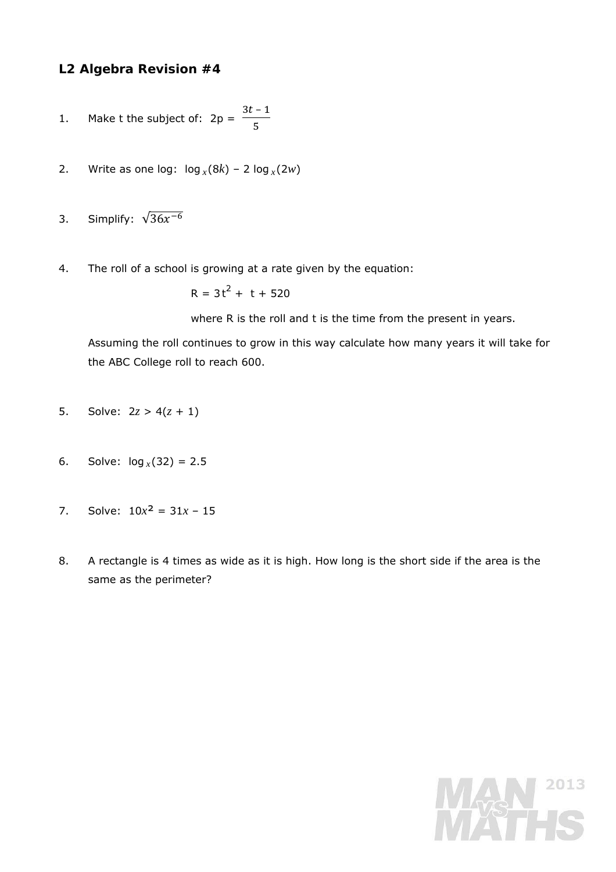## **L2 Algebra Revision #4**

- 1. Make *t* the subject of:  $2p =$  $3t - 1$ ହ
- 2. Write as one log:  $log_x(8k) 2 log_x(2w)$
- 3. Simplify:  $\sqrt{36x^{-6}}$
- 4. The roll of a school is growing at a rate given by the equation:

 $R = 3t^2 + t + 520$ 

where R is the roll and *t* is the time from the present in years.

 Assuming the roll continues to grow in this way calculate how many years it will take for the ABC College roll to reach 600.

- 5. Solve:  $2z > 4(z + 1)$
- 6. Solve:  $log_x(32) = 2.5$
- 7. Solve:  $10x^2 = 31x 15$
- 8. A rectangle is 4 times as wide as it is high. How long is the short side if the area is the same as the perimeter?